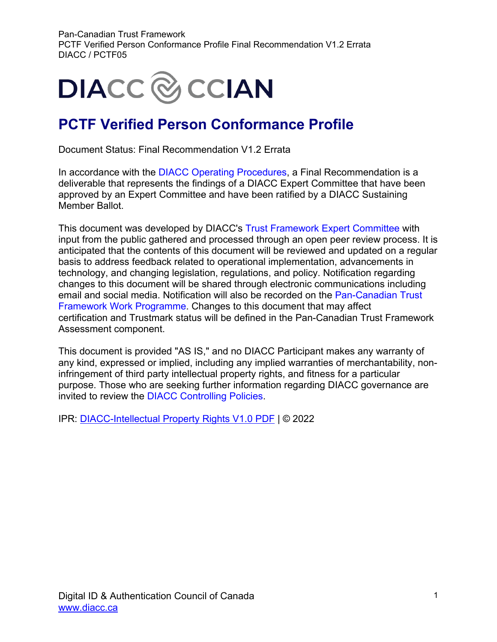

### **PCTF Verified Person Conformance Profile**

Document Status: Final Recommendation V1.2 Errata

In accordance with the [DIACC Operating Procedures,](https://can01.safelinks.protection.outlook.com/?url=https%3A%2F%2Fdiacc.ca%2Fcontrolling-policies%2F&data=02%7C01%7Cerika.macphee%40becker-carroll.com%7Ced9a402501484c806da008d8036401f1%7Ce7e3e0637a104f0f9cbc2e661383895e%7C0%7C0%7C637263075353689765&sdata=Z7tlYHM1mBaA8Gk%2FLNeeJwmiIOzmoIdc9dukNrP9X7g%3D&reserved=0) a Final Recommendation is a deliverable that represents the findings of a DIACC Expert Committee that have been approved by an Expert Committee and have been ratified by a DIACC Sustaining Member Ballot.

This document was developed by DIACC's [Trust Framework Expert Committee](https://can01.safelinks.protection.outlook.com/?url=https%3A%2F%2Fdiacc.ca%2Fthe-diacc%2Fcommittees%2F&data=02%7C01%7Cerika.macphee%40becker-carroll.com%7Ced9a402501484c806da008d8036401f1%7Ce7e3e0637a104f0f9cbc2e661383895e%7C0%7C0%7C637263075353699761&sdata=SHRfl3oOrTTYFXiY1i4fXuB1aYTZkVlU3QB3l9%2BQCA8%3D&reserved=0) with input from the public gathered and processed through an open peer review process. It is anticipated that the contents of this document will be reviewed and updated on a regular basis to address feedback related to operational implementation, advancements in technology, and changing legislation, regulations, and policy. Notification regarding changes to this document will be shared through electronic communications including email and social media. Notification will also be recorded on the [Pan-Canadian Trust](https://can01.safelinks.protection.outlook.com/?url=https%3A%2F%2Fdiacc.ca%2Ftrust-framework%2F&data=02%7C01%7Cerika.macphee%40becker-carroll.com%7Ced9a402501484c806da008d8036401f1%7Ce7e3e0637a104f0f9cbc2e661383895e%7C0%7C0%7C637263075353699761&sdata=0a%2BY8j2y16CbIozJwC5%2FXcvvJLBKPrqwXcY2SlMnD%2FQ%3D&reserved=0)  [Framework Work Programme.](https://can01.safelinks.protection.outlook.com/?url=https%3A%2F%2Fdiacc.ca%2Ftrust-framework%2F&data=02%7C01%7Cerika.macphee%40becker-carroll.com%7Ced9a402501484c806da008d8036401f1%7Ce7e3e0637a104f0f9cbc2e661383895e%7C0%7C0%7C637263075353699761&sdata=0a%2BY8j2y16CbIozJwC5%2FXcvvJLBKPrqwXcY2SlMnD%2FQ%3D&reserved=0) Changes to this document that may affect certification and Trustmark status will be defined in the Pan-Canadian Trust Framework Assessment component.

This document is provided "AS IS," and no DIACC Participant makes any warranty of any kind, expressed or implied, including any implied warranties of merchantability, noninfringement of third party intellectual property rights, and fitness for a particular purpose. Those who are seeking further information regarding DIACC governance are invited to review the [DIACC Controlling Policies.](https://can01.safelinks.protection.outlook.com/?url=https%3A%2F%2Fdiacc.ca%2Fcontrolling-policies%2F&data=02%7C01%7Cerika.macphee%40becker-carroll.com%7Ced9a402501484c806da008d8036401f1%7Ce7e3e0637a104f0f9cbc2e661383895e%7C0%7C0%7C637263075353709758&sdata=NueZpNK0sqSIJTTCDh88Q5OlqvoCMgmjAt052zTDRpI%3D&reserved=0)

IPR: [DIACC-Intellectual Property Rights V1.0 PDF](https://diacc.ca/wp-content/uploads/2020/05/DIACC-Intellectual-Property-Rights-V1.pdf) | © 2022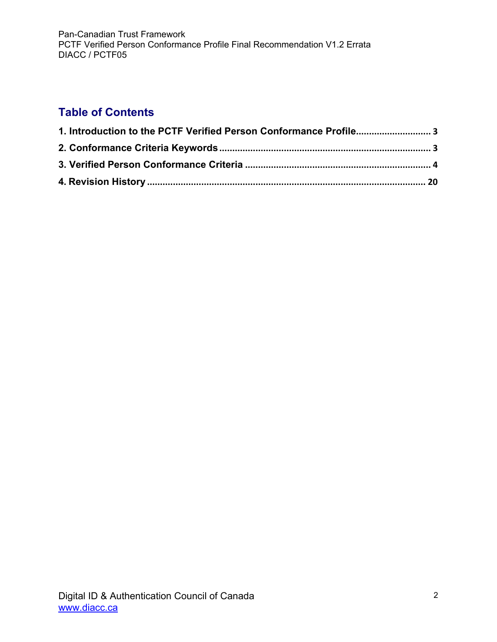### **Table of Contents**

| 1. Introduction to the PCTF Verified Person Conformance Profile3 |  |
|------------------------------------------------------------------|--|
|                                                                  |  |
|                                                                  |  |
|                                                                  |  |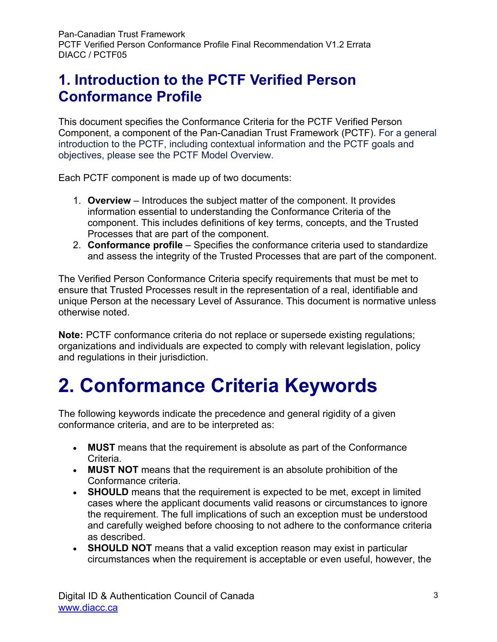### <span id="page-2-0"></span>**1. Introduction to the PCTF Verified Person Conformance Profile**

This document specifies the Conformance Criteria for the PCTF Verified Person Component, a component of the Pan-Canadian Trust Framework (PCTF). For a general introduction to the PCTF, including contextual information and the PCTF goals and objectives, please see the PCTF Model Overview.

Each PCTF component is made up of two documents:

- 1. **Overview** Introduces the subject matter of the component. It provides information essential to understanding the Conformance Criteria of the component. This includes definitions of key terms, concepts, and the Trusted Processes that are part of the component.
- 2. **Conformance profile** Specifies the conformance criteria used to standardize and assess the integrity of the Trusted Processes that are part of the component.

The Verified Person Conformance Criteria specify requirements that must be met to ensure that Trusted Processes result in the representation of a real, identifiable and unique Person at the necessary Level of Assurance. This document is normative unless otherwise noted.

**Note:** PCTF conformance criteria do not replace or supersede existing regulations; organizations and individuals are expected to comply with relevant legislation, policy and regulations in their jurisdiction.

## <span id="page-2-1"></span>**2. Conformance Criteria Keywords**

The following keywords indicate the precedence and general rigidity of a given conformance criteria, and are to be interpreted as:

- **MUST** means that the requirement is absolute as part of the Conformance Criteria.
- **MUST NOT** means that the requirement is an absolute prohibition of the Conformance criteria.
- **SHOULD** means that the requirement is expected to be met, except in limited cases where the applicant documents valid reasons or circumstances to ignore the requirement. The full implications of such an exception must be understood and carefully weighed before choosing to not adhere to the conformance criteria as described.
- **SHOULD NOT** means that a valid exception reason may exist in particular circumstances when the requirement is acceptable or even useful, however, the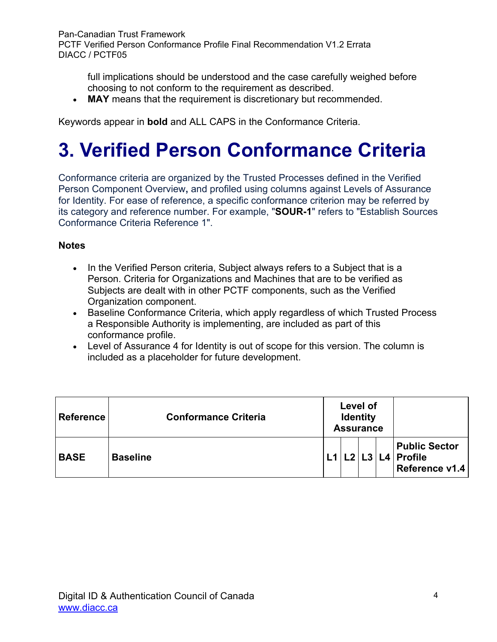full implications should be understood and the case carefully weighed before choosing to not conform to the requirement as described.

• **MAY** means that the requirement is discretionary but recommended.

Keywords appear in **bold** and ALL CAPS in the Conformance Criteria.

# <span id="page-3-0"></span>**3. Verified Person Conformance Criteria**

Conformance criteria are organized by the Trusted Processes defined in the Verified Person Component Overview**,** and profiled using columns against Levels of Assurance for Identity. For ease of reference, a specific conformance criterion may be referred by its category and reference number. For example, "**SOUR-1**" refers to "Establish Sources Conformance Criteria Reference 1".

#### **Notes**

- In the Verified Person criteria, Subject always refers to a Subject that is a Person. Criteria for Organizations and Machines that are to be verified as Subjects are dealt with in other PCTF components, such as the Verified Organization component.
- Baseline Conformance Criteria, which apply regardless of which Trusted Process a Responsible Authority is implementing, are included as part of this conformance profile.
- Level of Assurance 4 for Identity is out of scope for this version. The column is included as a placeholder for future development.

| <b>Reference</b> | <b>Conformance Criteria</b> |     | Level of<br><b>Identity</b><br><b>Assurance</b> |  |                                                               |
|------------------|-----------------------------|-----|-------------------------------------------------|--|---------------------------------------------------------------|
| <b>BASE</b>      | <b>Baseline</b>             | l 1 |                                                 |  | <b>Public Sector</b><br>$L2 L3 L4 $ Profile<br>Reference v1.4 |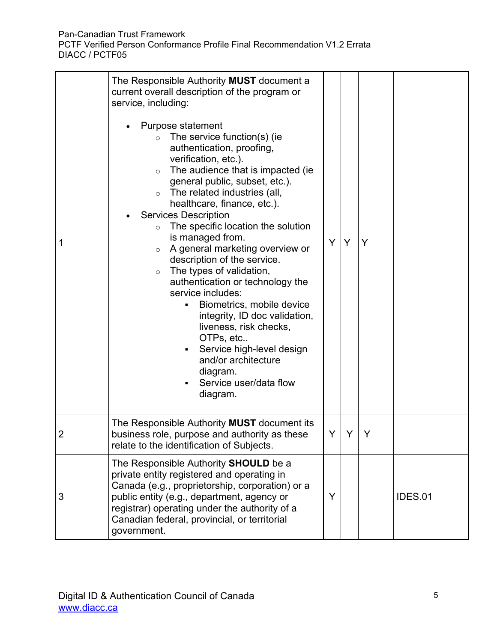| 1 | The Responsible Authority MUST document a<br>current overall description of the program or<br>service, including:<br>Purpose statement<br>The service function(s) (ie<br>$\circ$<br>authentication, proofing,<br>verification, etc.).<br>The audience that is impacted (ie<br>$\circ$<br>general public, subset, etc.).<br>The related industries (all,<br>$\circ$<br>healthcare, finance, etc.).<br><b>Services Description</b><br>The specific location the solution<br>$\circ$<br>is managed from.<br>A general marketing overview or<br>$\circ$<br>description of the service.<br>The types of validation,<br>$\circ$<br>authentication or technology the<br>service includes:<br>Biometrics, mobile device<br>٠<br>integrity, ID doc validation,<br>liveness, risk checks,<br>OTPs, etc<br>Service high-level design<br>and/or architecture<br>diagram.<br>Service user/data flow<br>diagram. | Y | Y | Y |                |
|---|----------------------------------------------------------------------------------------------------------------------------------------------------------------------------------------------------------------------------------------------------------------------------------------------------------------------------------------------------------------------------------------------------------------------------------------------------------------------------------------------------------------------------------------------------------------------------------------------------------------------------------------------------------------------------------------------------------------------------------------------------------------------------------------------------------------------------------------------------------------------------------------------------|---|---|---|----------------|
| 2 | The Responsible Authority <b>MUST</b> document its<br>business role, purpose and authority as these<br>relate to the identification of Subjects.                                                                                                                                                                                                                                                                                                                                                                                                                                                                                                                                                                                                                                                                                                                                                   | Y |   |   |                |
| 3 | The Responsible Authority SHOULD be a<br>private entity registered and operating in<br>Canada (e.g., proprietorship, corporation) or a<br>public entity (e.g., department, agency or<br>registrar) operating under the authority of a<br>Canadian federal, provincial, or territorial<br>government.                                                                                                                                                                                                                                                                                                                                                                                                                                                                                                                                                                                               | Y |   |   | <b>IDES.01</b> |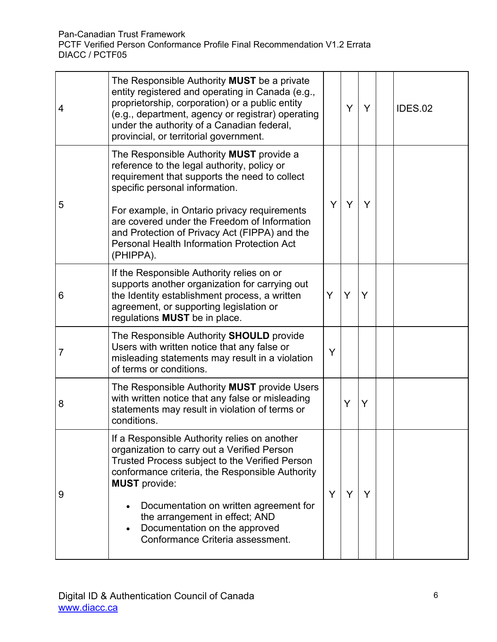| 4 | The Responsible Authority <b>MUST</b> be a private<br>entity registered and operating in Canada (e.g.,<br>proprietorship, corporation) or a public entity<br>(e.g., department, agency or registrar) operating<br>under the authority of a Canadian federal,<br>provincial, or territorial government.                                                                                               |   | Y | Y | IDES.02 |
|---|------------------------------------------------------------------------------------------------------------------------------------------------------------------------------------------------------------------------------------------------------------------------------------------------------------------------------------------------------------------------------------------------------|---|---|---|---------|
| 5 | The Responsible Authority <b>MUST</b> provide a<br>reference to the legal authority, policy or<br>requirement that supports the need to collect<br>specific personal information.<br>For example, in Ontario privacy requirements<br>are covered under the Freedom of Information<br>and Protection of Privacy Act (FIPPA) and the<br><b>Personal Health Information Protection Act</b><br>(PHIPPA). | Y | Y | Y |         |
| 6 | If the Responsible Authority relies on or<br>supports another organization for carrying out<br>the Identity establishment process, a written<br>agreement, or supporting legislation or<br>regulations <b>MUST</b> be in place.                                                                                                                                                                      | Y | Y | Y |         |
| 7 | The Responsible Authority <b>SHOULD</b> provide<br>Users with written notice that any false or<br>misleading statements may result in a violation<br>of terms or conditions.                                                                                                                                                                                                                         | Y |   |   |         |
| 8 | The Responsible Authority MUST provide Users<br>with written notice that any false or misleading<br>statements may result in violation of terms or<br>conditions.                                                                                                                                                                                                                                    |   | Y | Y |         |
| 9 | If a Responsible Authority relies on another<br>organization to carry out a Verified Person<br>Trusted Process subject to the Verified Person<br>conformance criteria, the Responsible Authority<br><b>MUST</b> provide:<br>Documentation on written agreement for<br>the arrangement in effect; AND<br>Documentation on the approved<br>Conformance Criteria assessment.                            | Y | Y | Y |         |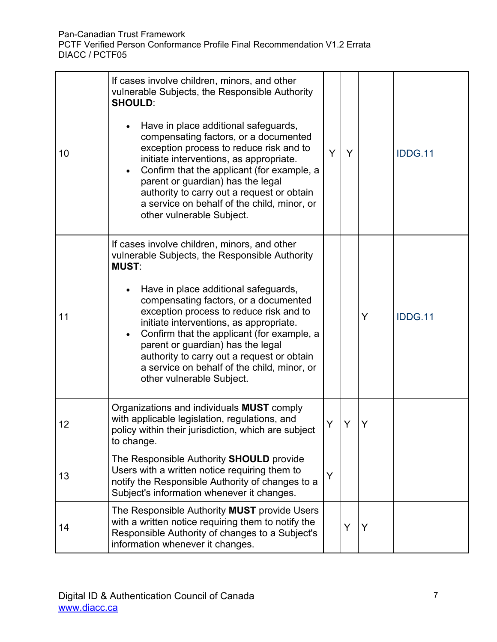| 10 | If cases involve children, minors, and other<br>vulnerable Subjects, the Responsible Authority<br><b>SHOULD:</b><br>Have in place additional safeguards,<br>compensating factors, or a documented<br>exception process to reduce risk and to<br>initiate interventions, as appropriate.<br>Confirm that the applicant (for example, a<br>parent or guardian) has the legal<br>authority to carry out a request or obtain<br>a service on behalf of the child, minor, or<br>other vulnerable Subject.            | Y | Y |   | <b>IDDG.11</b> |
|----|-----------------------------------------------------------------------------------------------------------------------------------------------------------------------------------------------------------------------------------------------------------------------------------------------------------------------------------------------------------------------------------------------------------------------------------------------------------------------------------------------------------------|---|---|---|----------------|
| 11 | If cases involve children, minors, and other<br>vulnerable Subjects, the Responsible Authority<br><b>MUST:</b><br>Have in place additional safeguards,<br>compensating factors, or a documented<br>exception process to reduce risk and to<br>initiate interventions, as appropriate.<br>Confirm that the applicant (for example, a<br>$\bullet$<br>parent or guardian) has the legal<br>authority to carry out a request or obtain<br>a service on behalf of the child, minor, or<br>other vulnerable Subject. |   |   | Y | <b>IDDG.11</b> |
| 12 | Organizations and individuals MUST comply<br>with applicable legislation, regulations, and<br>policy within their jurisdiction, which are subject<br>to change.                                                                                                                                                                                                                                                                                                                                                 | Y | Y | Y |                |
| 13 | The Responsible Authority <b>SHOULD</b> provide<br>Users with a written notice requiring them to<br>notify the Responsible Authority of changes to a<br>Subject's information whenever it changes.                                                                                                                                                                                                                                                                                                              | Y |   |   |                |
| 14 | The Responsible Authority MUST provide Users<br>with a written notice requiring them to notify the<br>Responsible Authority of changes to a Subject's<br>information whenever it changes.                                                                                                                                                                                                                                                                                                                       |   | Y | Y |                |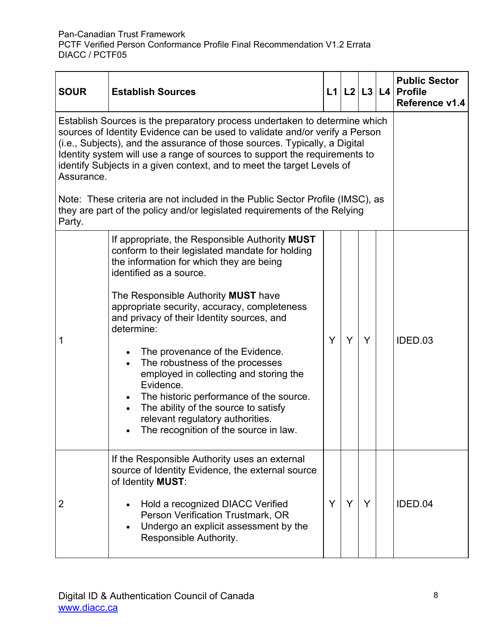| <b>SOUR</b>                                                                                                                                                                                                                                                                                                                                                                                                                                                                                    | <b>Establish Sources</b>                                                                                                                                                                                                                                                                                                                                                                                                                                                                                                                                                                                                              |   |   |   | $L1$ $L2$ $L3$ $L4$ | <b>Public Sector</b><br><b>Profile</b><br>Reference v1.4 |
|------------------------------------------------------------------------------------------------------------------------------------------------------------------------------------------------------------------------------------------------------------------------------------------------------------------------------------------------------------------------------------------------------------------------------------------------------------------------------------------------|---------------------------------------------------------------------------------------------------------------------------------------------------------------------------------------------------------------------------------------------------------------------------------------------------------------------------------------------------------------------------------------------------------------------------------------------------------------------------------------------------------------------------------------------------------------------------------------------------------------------------------------|---|---|---|---------------------|----------------------------------------------------------|
| Establish Sources is the preparatory process undertaken to determine which<br>sources of Identity Evidence can be used to validate and/or verify a Person<br>(i.e., Subjects), and the assurance of those sources. Typically, a Digital<br>Identity system will use a range of sources to support the requirements to<br>identify Subjects in a given context, and to meet the target Levels of<br>Assurance.<br>Note: These criteria are not included in the Public Sector Profile (IMSC), as |                                                                                                                                                                                                                                                                                                                                                                                                                                                                                                                                                                                                                                       |   |   |   |                     |                                                          |
| Party.                                                                                                                                                                                                                                                                                                                                                                                                                                                                                         | they are part of the policy and/or legislated requirements of the Relying                                                                                                                                                                                                                                                                                                                                                                                                                                                                                                                                                             |   |   |   |                     |                                                          |
| 1                                                                                                                                                                                                                                                                                                                                                                                                                                                                                              | If appropriate, the Responsible Authority MUST<br>conform to their legislated mandate for holding<br>the information for which they are being<br>identified as a source.<br>The Responsible Authority MUST have<br>appropriate security, accuracy, completeness<br>and privacy of their Identity sources, and<br>determine:<br>The provenance of the Evidence.<br>The robustness of the processes<br>employed in collecting and storing the<br>Evidence.<br>The historic performance of the source.<br>The ability of the source to satisfy<br>$\bullet$<br>relevant regulatory authorities.<br>The recognition of the source in law. | Y | Y | Y |                     | IDED.03                                                  |
| 2                                                                                                                                                                                                                                                                                                                                                                                                                                                                                              | If the Responsible Authority uses an external<br>source of Identity Evidence, the external source<br>of Identity MUST:<br>Hold a recognized DIACC Verified<br>Person Verification Trustmark, OR<br>Undergo an explicit assessment by the<br>Responsible Authority.                                                                                                                                                                                                                                                                                                                                                                    | Y | Y | Y |                     | IDED.04                                                  |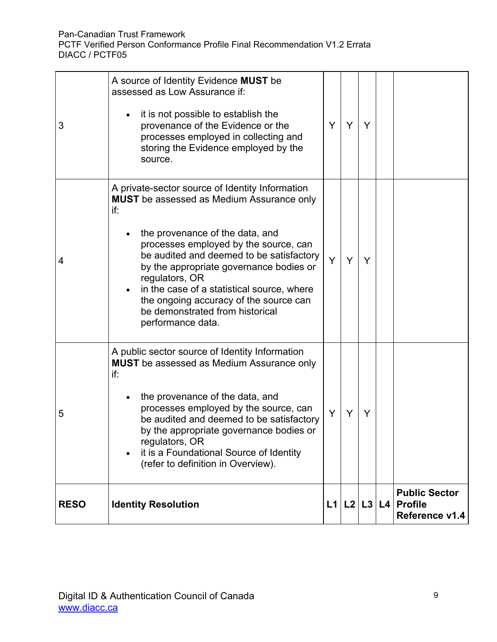| 3           | A source of Identity Evidence MUST be<br>assessed as Low Assurance if:<br>it is not possible to establish the<br>provenance of the Evidence or the<br>processes employed in collecting and<br>storing the Evidence employed by the<br>source.                                                                                                                                                                                                   | Y | Y           | Y |                                                          |
|-------------|-------------------------------------------------------------------------------------------------------------------------------------------------------------------------------------------------------------------------------------------------------------------------------------------------------------------------------------------------------------------------------------------------------------------------------------------------|---|-------------|---|----------------------------------------------------------|
| 4           | A private-sector source of Identity Information<br><b>MUST</b> be assessed as Medium Assurance only<br>if:<br>the provenance of the data, and<br>processes employed by the source, can<br>be audited and deemed to be satisfactory<br>by the appropriate governance bodies or<br>regulators, OR<br>in the case of a statistical source, where<br>the ongoing accuracy of the source can<br>be demonstrated from historical<br>performance data. | Y | Y           | Y |                                                          |
| 5           | A public sector source of Identity Information<br><b>MUST</b> be assessed as Medium Assurance only<br>if:<br>the provenance of the data, and<br>processes employed by the source, can<br>be audited and deemed to be satisfactory<br>by the appropriate governance bodies or<br>regulators, OR<br>it is a Foundational Source of Identity<br>(refer to definition in Overview).                                                                 | Y | Y           | Y |                                                          |
| <b>RESO</b> | <b>Identity Resolution</b>                                                                                                                                                                                                                                                                                                                                                                                                                      |   | L1 L2 L3 L4 |   | <b>Public Sector</b><br><b>Profile</b><br>Reference v1.4 |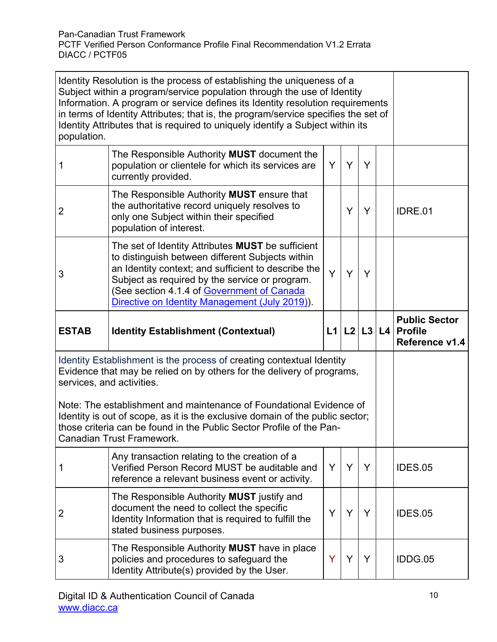| Identity Resolution is the process of establishing the uniqueness of a<br>Subject within a program/service population through the use of Identity<br>Information. A program or service defines its Identity resolution requirements<br>in terms of Identity Attributes; that is, the program/service specifies the set of<br>Identity Attributes that is required to uniquely identify a Subject within its<br>population. |                                                                                                                                                                                                                                                                                                                       |   |                     |   |                                                          |
|----------------------------------------------------------------------------------------------------------------------------------------------------------------------------------------------------------------------------------------------------------------------------------------------------------------------------------------------------------------------------------------------------------------------------|-----------------------------------------------------------------------------------------------------------------------------------------------------------------------------------------------------------------------------------------------------------------------------------------------------------------------|---|---------------------|---|----------------------------------------------------------|
|                                                                                                                                                                                                                                                                                                                                                                                                                            | The Responsible Authority MUST document the<br>population or clientele for which its services are<br>currently provided.                                                                                                                                                                                              | Y | Y                   | Y |                                                          |
| 2                                                                                                                                                                                                                                                                                                                                                                                                                          | The Responsible Authority MUST ensure that<br>the authoritative record uniquely resolves to<br>only one Subject within their specified<br>population of interest.                                                                                                                                                     |   | Y                   | Y | <b>IDRE.01</b>                                           |
| 3                                                                                                                                                                                                                                                                                                                                                                                                                          | The set of Identity Attributes <b>MUST</b> be sufficient<br>to distinguish between different Subjects within<br>an Identity context; and sufficient to describe the<br>Subject as required by the service or program.<br>(See section 4.1.4 of Government of Canada<br>Directive on Identity Management (July 2019)). | Y | Y                   | Y |                                                          |
| <b>ESTAB</b>                                                                                                                                                                                                                                                                                                                                                                                                               | <b>Identity Establishment (Contextual)</b>                                                                                                                                                                                                                                                                            |   | $L1$ $L2$ $L3$ $L4$ |   | <b>Public Sector</b><br><b>Profile</b><br>Reference v1.4 |
|                                                                                                                                                                                                                                                                                                                                                                                                                            | Identity Establishment is the process of creating contextual Identity<br>Evidence that may be relied on by others for the delivery of programs,<br>services, and activities.                                                                                                                                          |   |                     |   |                                                          |
| Note: The establishment and maintenance of Foundational Evidence of<br>Identity is out of scope, as it is the exclusive domain of the public sector;<br>those criteria can be found in the Public Sector Profile of the Pan-<br>Canadian Trust Framework.                                                                                                                                                                  |                                                                                                                                                                                                                                                                                                                       |   |                     |   |                                                          |
|                                                                                                                                                                                                                                                                                                                                                                                                                            | Any transaction relating to the creation of a<br>Verified Person Record MUST be auditable and<br>reference a relevant business event or activity.                                                                                                                                                                     | Y | Y                   | Y | <b>IDES.05</b>                                           |
| 2                                                                                                                                                                                                                                                                                                                                                                                                                          | The Responsible Authority MUST justify and<br>document the need to collect the specific<br>Identity Information that is required to fulfill the<br>stated business purposes.                                                                                                                                          | Y | Y                   | Y | <b>IDES.05</b>                                           |
| 3                                                                                                                                                                                                                                                                                                                                                                                                                          | The Responsible Authority MUST have in place<br>policies and procedures to safeguard the<br>Identity Attribute(s) provided by the User.                                                                                                                                                                               | Y | Y                   | Y | IDDG.05                                                  |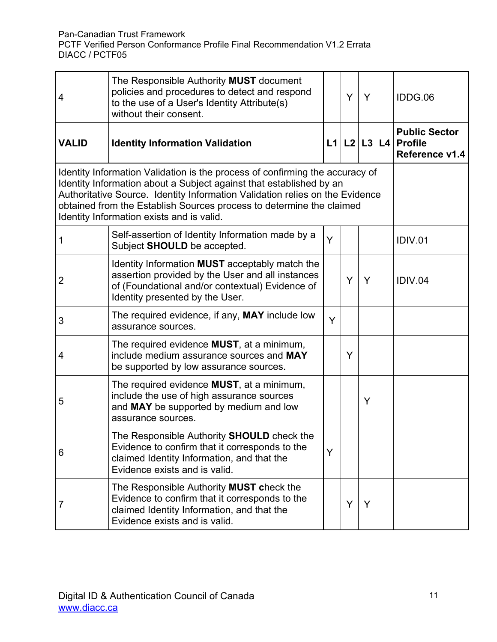| 4                                                                                                                                                                                                                                                                                                                                                        | The Responsible Authority MUST document<br>policies and procedures to detect and respond<br>to the use of a User's Identity Attribute(s)<br>without their consent.                       |   | Y           | Y |  | IDDG.06                                                  |
|----------------------------------------------------------------------------------------------------------------------------------------------------------------------------------------------------------------------------------------------------------------------------------------------------------------------------------------------------------|------------------------------------------------------------------------------------------------------------------------------------------------------------------------------------------|---|-------------|---|--|----------------------------------------------------------|
| <b>VALID</b>                                                                                                                                                                                                                                                                                                                                             | <b>Identity Information Validation</b>                                                                                                                                                   |   | L1 L2 L3 L4 |   |  | <b>Public Sector</b><br><b>Profile</b><br>Reference v1.4 |
| Identity Information Validation is the process of confirming the accuracy of<br>Identity Information about a Subject against that established by an<br>Authoritative Source. Identity Information Validation relies on the Evidence<br>obtained from the Establish Sources process to determine the claimed<br>Identity Information exists and is valid. |                                                                                                                                                                                          |   |             |   |  |                                                          |
| 1                                                                                                                                                                                                                                                                                                                                                        | Self-assertion of Identity Information made by a<br>Subject SHOULD be accepted.                                                                                                          | Y |             |   |  | IDIV.01                                                  |
| 2                                                                                                                                                                                                                                                                                                                                                        | Identity Information MUST acceptably match the<br>assertion provided by the User and all instances<br>of (Foundational and/or contextual) Evidence of<br>Identity presented by the User. |   | Y           | Y |  | IDIV.04                                                  |
| 3                                                                                                                                                                                                                                                                                                                                                        | The required evidence, if any, <b>MAY</b> include low<br>assurance sources.                                                                                                              | Y |             |   |  |                                                          |
| 4                                                                                                                                                                                                                                                                                                                                                        | The required evidence MUST, at a minimum,<br>include medium assurance sources and MAY<br>be supported by low assurance sources.                                                          |   | Y           |   |  |                                                          |
| 5                                                                                                                                                                                                                                                                                                                                                        | The required evidence <b>MUST</b> , at a minimum,<br>include the use of high assurance sources<br>and MAY be supported by medium and low<br>assurance sources.                           |   |             | Y |  |                                                          |
| 6                                                                                                                                                                                                                                                                                                                                                        | The Responsible Authority <b>SHOULD</b> check the<br>Evidence to confirm that it corresponds to the<br>claimed Identity Information, and that the<br>Evidence exists and is valid.       | Y |             |   |  |                                                          |
| 7                                                                                                                                                                                                                                                                                                                                                        | The Responsible Authority MUST check the<br>Evidence to confirm that it corresponds to the<br>claimed Identity Information, and that the<br>Evidence exists and is valid.                |   | Y           | Y |  |                                                          |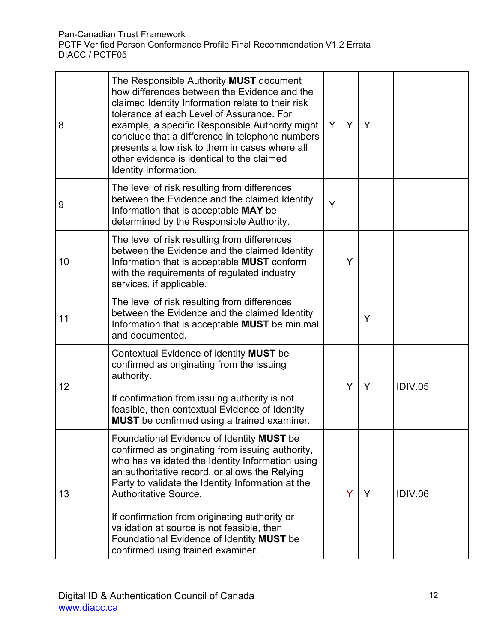| 8  | The Responsible Authority MUST document<br>how differences between the Evidence and the<br>claimed Identity Information relate to their risk<br>tolerance at each Level of Assurance. For<br>example, a specific Responsible Authority might<br>conclude that a difference in telephone numbers<br>presents a low risk to them in cases where all<br>other evidence is identical to the claimed<br>Identity Information.                                                  | Y | Y | Y |                |
|----|---------------------------------------------------------------------------------------------------------------------------------------------------------------------------------------------------------------------------------------------------------------------------------------------------------------------------------------------------------------------------------------------------------------------------------------------------------------------------|---|---|---|----------------|
| 9  | The level of risk resulting from differences<br>between the Evidence and the claimed Identity<br>Information that is acceptable MAY be<br>determined by the Responsible Authority.                                                                                                                                                                                                                                                                                        | Y |   |   |                |
| 10 | The level of risk resulting from differences<br>between the Evidence and the claimed Identity<br>Information that is acceptable MUST conform<br>with the requirements of regulated industry<br>services, if applicable.                                                                                                                                                                                                                                                   |   | Y |   |                |
| 11 | The level of risk resulting from differences<br>between the Evidence and the claimed Identity<br>Information that is acceptable <b>MUST</b> be minimal<br>and documented.                                                                                                                                                                                                                                                                                                 |   |   | Y |                |
| 12 | Contextual Evidence of identity <b>MUST</b> be<br>confirmed as originating from the issuing<br>authority.<br>If confirmation from issuing authority is not<br>feasible, then contextual Evidence of Identity<br><b>MUST</b> be confirmed using a trained examiner.                                                                                                                                                                                                        |   | Y | Y | <b>IDIV.05</b> |
| 13 | Foundational Evidence of Identity MUST be<br>confirmed as originating from issuing authority,<br>who has validated the Identity Information using<br>an authoritative record, or allows the Relying<br>Party to validate the Identity Information at the<br><b>Authoritative Source.</b><br>If confirmation from originating authority or<br>validation at source is not feasible, then<br>Foundational Evidence of Identity MUST be<br>confirmed using trained examiner. |   | Ÿ | Y | IDIV.06        |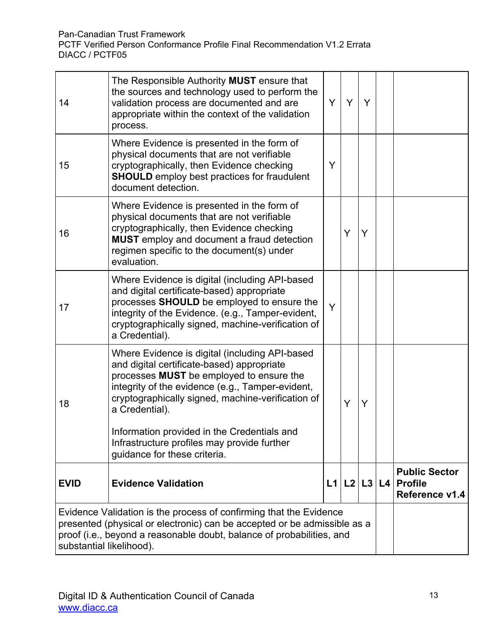| 14                                                                                                                                                                                                                                                  | The Responsible Authority MUST ensure that<br>the sources and technology used to perform the<br>validation process are documented and are<br>appropriate within the context of the validation<br>process.                                                                                                                                                                                         | Y  | Y | Y              |  |                                                          |
|-----------------------------------------------------------------------------------------------------------------------------------------------------------------------------------------------------------------------------------------------------|---------------------------------------------------------------------------------------------------------------------------------------------------------------------------------------------------------------------------------------------------------------------------------------------------------------------------------------------------------------------------------------------------|----|---|----------------|--|----------------------------------------------------------|
| 15                                                                                                                                                                                                                                                  | Where Evidence is presented in the form of<br>physical documents that are not verifiable<br>cryptographically, then Evidence checking<br><b>SHOULD</b> employ best practices for fraudulent<br>document detection.                                                                                                                                                                                | Y  |   |                |  |                                                          |
| 16                                                                                                                                                                                                                                                  | Where Evidence is presented in the form of<br>physical documents that are not verifiable<br>cryptographically, then Evidence checking<br><b>MUST</b> employ and document a fraud detection<br>regimen specific to the document(s) under<br>evaluation.                                                                                                                                            |    | Y | Y              |  |                                                          |
| 17                                                                                                                                                                                                                                                  | Where Evidence is digital (including API-based<br>and digital certificate-based) appropriate<br>processes SHOULD be employed to ensure the<br>integrity of the Evidence. (e.g., Tamper-evident,<br>cryptographically signed, machine-verification of<br>a Credential).                                                                                                                            | Y  |   |                |  |                                                          |
| 18                                                                                                                                                                                                                                                  | Where Evidence is digital (including API-based<br>and digital certificate-based) appropriate<br>processes MUST be employed to ensure the<br>integrity of the evidence (e.g., Tamper-evident,<br>cryptographically signed, machine-verification of<br>a Credential).<br>Information provided in the Credentials and<br>Infrastructure profiles may provide further<br>guidance for these criteria. |    | Y | Y              |  |                                                          |
| <b>EVID</b>                                                                                                                                                                                                                                         | <b>Evidence Validation</b>                                                                                                                                                                                                                                                                                                                                                                        | L1 |   | $L2$ $L3$ $L4$ |  | <b>Public Sector</b><br><b>Profile</b><br>Reference v1.4 |
| Evidence Validation is the process of confirming that the Evidence<br>presented (physical or electronic) can be accepted or be admissible as a<br>proof (i.e., beyond a reasonable doubt, balance of probabilities, and<br>substantial likelihood). |                                                                                                                                                                                                                                                                                                                                                                                                   |    |   |                |  |                                                          |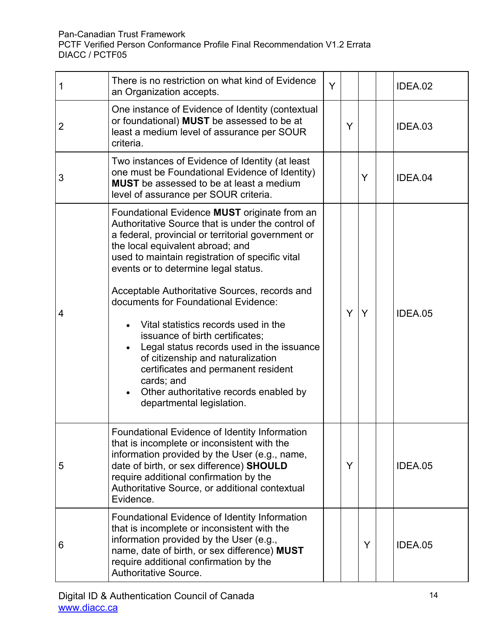| 1 | There is no restriction on what kind of Evidence<br>an Organization accepts.                                                                                                                                                                                                                                                                                                                                                                                                                                                                                                                                                                                                    | Ÿ |   |   | IDEA.02        |
|---|---------------------------------------------------------------------------------------------------------------------------------------------------------------------------------------------------------------------------------------------------------------------------------------------------------------------------------------------------------------------------------------------------------------------------------------------------------------------------------------------------------------------------------------------------------------------------------------------------------------------------------------------------------------------------------|---|---|---|----------------|
| 2 | One instance of Evidence of Identity (contextual<br>or foundational) MUST be assessed to be at<br>least a medium level of assurance per SOUR<br>criteria.                                                                                                                                                                                                                                                                                                                                                                                                                                                                                                                       |   | Y |   | IDEA.03        |
| 3 | Two instances of Evidence of Identity (at least<br>one must be Foundational Evidence of Identity)<br><b>MUST</b> be assessed to be at least a medium<br>level of assurance per SOUR criteria.                                                                                                                                                                                                                                                                                                                                                                                                                                                                                   |   |   | Y | IDEA.04        |
| 4 | Foundational Evidence <b>MUST</b> originate from an<br>Authoritative Source that is under the control of<br>a federal, provincial or territorial government or<br>the local equivalent abroad; and<br>used to maintain registration of specific vital<br>events or to determine legal status.<br>Acceptable Authoritative Sources, records and<br>documents for Foundational Evidence:<br>Vital statistics records used in the<br>issuance of birth certificates;<br>Legal status records used in the issuance<br>of citizenship and naturalization<br>certificates and permanent resident<br>cards; and<br>Other authoritative records enabled by<br>departmental legislation. |   | Y | Y | IDEA.05        |
| 5 | Foundational Evidence of Identity Information<br>that is incomplete or inconsistent with the<br>information provided by the User (e.g., name,<br>date of birth, or sex difference) SHOULD<br>require additional confirmation by the<br>Authoritative Source, or additional contextual<br>Evidence.                                                                                                                                                                                                                                                                                                                                                                              |   | Y |   | <b>IDEA.05</b> |
| 6 | Foundational Evidence of Identity Information<br>that is incomplete or inconsistent with the<br>information provided by the User (e.g.,<br>name, date of birth, or sex difference) MUST<br>require additional confirmation by the<br>Authoritative Source.                                                                                                                                                                                                                                                                                                                                                                                                                      |   |   | Y | IDEA.05        |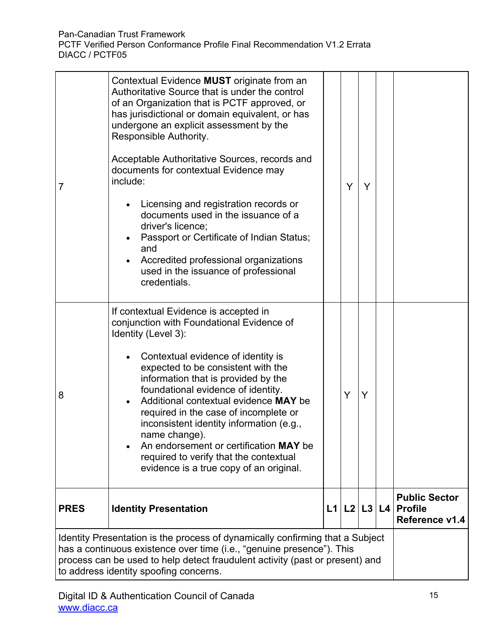| 7                                                                                                                                                                                                                                                                                | Contextual Evidence MUST originate from an<br>Authoritative Source that is under the control<br>of an Organization that is PCTF approved, or<br>has jurisdictional or domain equivalent, or has<br>undergone an explicit assessment by the<br>Responsible Authority.<br>Acceptable Authoritative Sources, records and<br>documents for contextual Evidence may<br>include:<br>Licensing and registration records or<br>documents used in the issuance of a<br>driver's licence;<br>Passport or Certificate of Indian Status;<br>and<br>Accredited professional organizations<br>used in the issuance of professional<br>credentials. |  | Y | Y |  |                                                          |
|----------------------------------------------------------------------------------------------------------------------------------------------------------------------------------------------------------------------------------------------------------------------------------|--------------------------------------------------------------------------------------------------------------------------------------------------------------------------------------------------------------------------------------------------------------------------------------------------------------------------------------------------------------------------------------------------------------------------------------------------------------------------------------------------------------------------------------------------------------------------------------------------------------------------------------|--|---|---|--|----------------------------------------------------------|
| 8                                                                                                                                                                                                                                                                                | If contextual Evidence is accepted in<br>conjunction with Foundational Evidence of<br>Identity (Level 3):<br>Contextual evidence of identity is<br>expected to be consistent with the<br>information that is provided by the<br>foundational evidence of identity.<br>Additional contextual evidence MAY be<br>required in the case of incomplete or<br>inconsistent identity information (e.g.,<br>name change).<br>An endorsement or certification MAY be<br>required to verify that the contextual<br>evidence is a true copy of an original.                                                                                     |  | Y | Y |  |                                                          |
| <b>PRES</b>                                                                                                                                                                                                                                                                      | L1 L2 L3 L4<br><b>Identity Presentation</b>                                                                                                                                                                                                                                                                                                                                                                                                                                                                                                                                                                                          |  |   |   |  | <b>Public Sector</b><br><b>Profile</b><br>Reference v1.4 |
| Identity Presentation is the process of dynamically confirming that a Subject<br>has a continuous existence over time (i.e., "genuine presence"). This<br>process can be used to help detect fraudulent activity (past or present) and<br>to address identity spoofing concerns. |                                                                                                                                                                                                                                                                                                                                                                                                                                                                                                                                                                                                                                      |  |   |   |  |                                                          |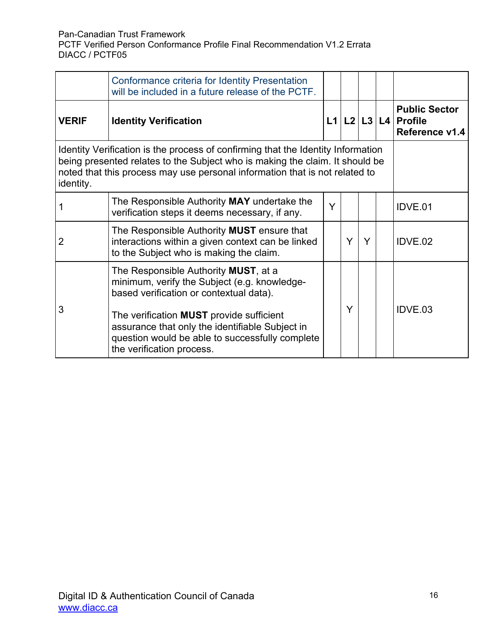|                                                                                                                                                                                                                                                              | Conformance criteria for Identity Presentation<br>will be included in a future release of the PCTF.                                                                                |                                                                         |   |   |  |         |
|--------------------------------------------------------------------------------------------------------------------------------------------------------------------------------------------------------------------------------------------------------------|------------------------------------------------------------------------------------------------------------------------------------------------------------------------------------|-------------------------------------------------------------------------|---|---|--|---------|
| <b>VERIF</b>                                                                                                                                                                                                                                                 | <b>Identity Verification</b>                                                                                                                                                       | <b>Public Sector</b><br>$L1   L2   L3   L4  $ Profile<br>Reference v1.4 |   |   |  |         |
| Identity Verification is the process of confirming that the Identity Information<br>being presented relates to the Subject who is making the claim. It should be<br>noted that this process may use personal information that is not related to<br>identity. |                                                                                                                                                                                    |                                                                         |   |   |  |         |
|                                                                                                                                                                                                                                                              | The Responsible Authority MAY undertake the<br>verification steps it deems necessary, if any.                                                                                      | Y                                                                       |   |   |  | IDVE.01 |
| $\overline{2}$                                                                                                                                                                                                                                               | The Responsible Authority MUST ensure that<br>interactions within a given context can be linked<br>to the Subject who is making the claim.                                         |                                                                         | Y | Y |  | IDVE.02 |
| 3                                                                                                                                                                                                                                                            | The Responsible Authority MUST, at a<br>minimum, verify the Subject (e.g. knowledge-<br>based verification or contextual data).                                                    |                                                                         | Y |   |  | IDVE.03 |
|                                                                                                                                                                                                                                                              | The verification <b>MUST</b> provide sufficient<br>assurance that only the identifiable Subject in<br>question would be able to successfully complete<br>the verification process. |                                                                         |   |   |  |         |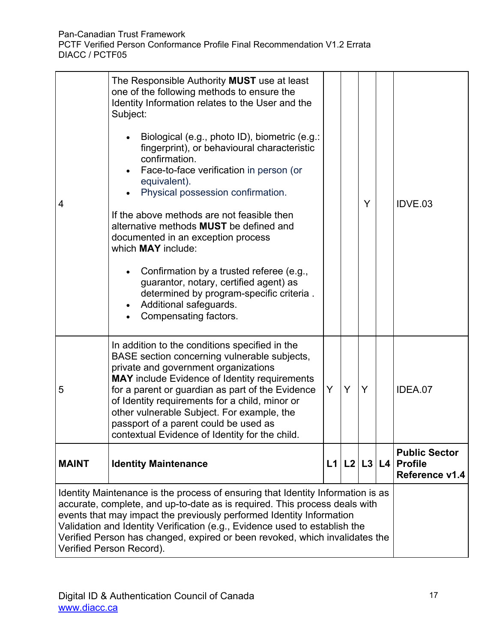| 4                                                                                                                                                                                                                                                                                                                                                                                                                              | The Responsible Authority MUST use at least<br>one of the following methods to ensure the<br>Identity Information relates to the User and the<br>Subject:<br>Biological (e.g., photo ID), biometric (e.g.:<br>fingerprint), or behavioural characteristic<br>confirmation.<br>Face-to-face verification in person (or<br>equivalent).<br>Physical possession confirmation.<br>If the above methods are not feasible then<br>alternative methods MUST be defined and<br>documented in an exception process<br>which <b>MAY</b> include:<br>Confirmation by a trusted referee (e.g.,<br>guarantor, notary, certified agent) as<br>determined by program-specific criteria.<br>Additional safeguards.<br>Compensating factors. |  |  | Y           |  | IDVE.03                                                  |
|--------------------------------------------------------------------------------------------------------------------------------------------------------------------------------------------------------------------------------------------------------------------------------------------------------------------------------------------------------------------------------------------------------------------------------|-----------------------------------------------------------------------------------------------------------------------------------------------------------------------------------------------------------------------------------------------------------------------------------------------------------------------------------------------------------------------------------------------------------------------------------------------------------------------------------------------------------------------------------------------------------------------------------------------------------------------------------------------------------------------------------------------------------------------------|--|--|-------------|--|----------------------------------------------------------|
| 5                                                                                                                                                                                                                                                                                                                                                                                                                              | In addition to the conditions specified in the<br>BASE section concerning vulnerable subjects,<br>private and government organizations<br><b>MAY</b> include Evidence of Identity requirements<br>Y<br>Y<br>for a parent or guardian as part of the Evidence<br>Y<br>of Identity requirements for a child, minor or<br>other vulnerable Subject. For example, the<br>passport of a parent could be used as<br>contextual Evidence of Identity for the child.                                                                                                                                                                                                                                                                |  |  |             |  | IDEA.07                                                  |
| <b>MAINT</b>                                                                                                                                                                                                                                                                                                                                                                                                                   | <b>Identity Maintenance</b>                                                                                                                                                                                                                                                                                                                                                                                                                                                                                                                                                                                                                                                                                                 |  |  | L1 L2 L3 L4 |  | <b>Public Sector</b><br><b>Profile</b><br>Reference v1.4 |
| Identity Maintenance is the process of ensuring that Identity Information is as<br>accurate, complete, and up-to-date as is required. This process deals with<br>events that may impact the previously performed Identity Information<br>Validation and Identity Verification (e.g., Evidence used to establish the<br>Verified Person has changed, expired or been revoked, which invalidates the<br>Verified Person Record). |                                                                                                                                                                                                                                                                                                                                                                                                                                                                                                                                                                                                                                                                                                                             |  |  |             |  |                                                          |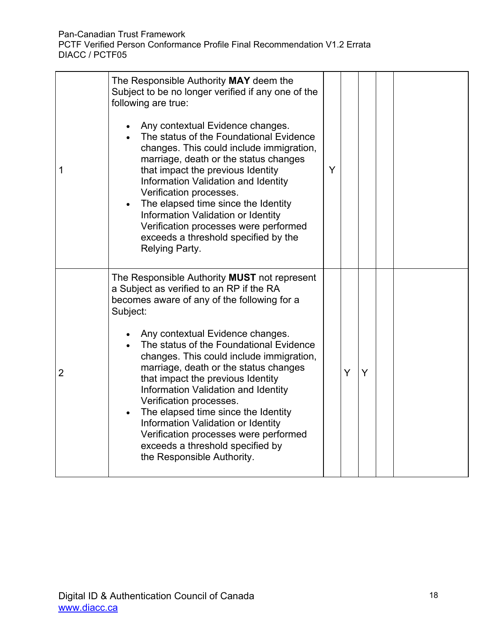| 1 | The Responsible Authority MAY deem the<br>Subject to be no longer verified if any one of the<br>following are true:<br>Any contextual Evidence changes.<br>The status of the Foundational Evidence<br>changes. This could include immigration,<br>marriage, death or the status changes<br>that impact the previous Identity<br>Information Validation and Identity<br>Verification processes.<br>The elapsed time since the Identity<br>Information Validation or Identity<br>Verification processes were performed<br>exceeds a threshold specified by the<br>Relying Party.                                         | Y |   |   |  |  |
|---|------------------------------------------------------------------------------------------------------------------------------------------------------------------------------------------------------------------------------------------------------------------------------------------------------------------------------------------------------------------------------------------------------------------------------------------------------------------------------------------------------------------------------------------------------------------------------------------------------------------------|---|---|---|--|--|
| 2 | The Responsible Authority MUST not represent<br>a Subject as verified to an RP if the RA<br>becomes aware of any of the following for a<br>Subject:<br>Any contextual Evidence changes.<br>The status of the Foundational Evidence<br>changes. This could include immigration,<br>marriage, death or the status changes<br>that impact the previous Identity<br>Information Validation and Identity<br>Verification processes.<br>The elapsed time since the Identity<br>Information Validation or Identity<br>Verification processes were performed<br>exceeds a threshold specified by<br>the Responsible Authority. |   | Y | Y |  |  |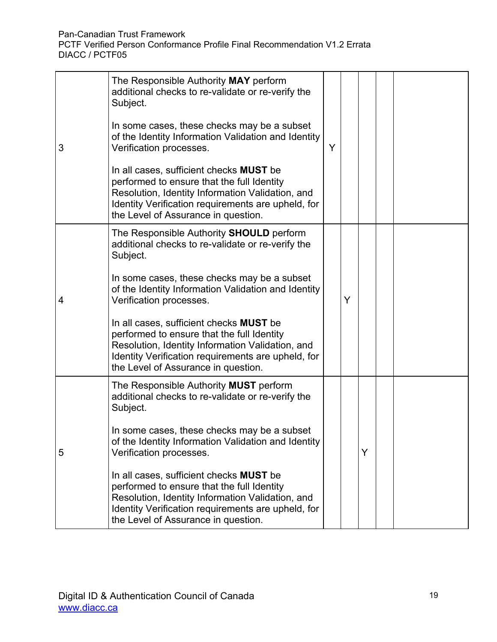|   | The Responsible Authority MAY perform<br>additional checks to re-validate or re-verify the<br>Subject.                                                                                                                                        |   |   |   |  |  |
|---|-----------------------------------------------------------------------------------------------------------------------------------------------------------------------------------------------------------------------------------------------|---|---|---|--|--|
| 3 | In some cases, these checks may be a subset<br>of the Identity Information Validation and Identity<br>Verification processes.                                                                                                                 | Y |   |   |  |  |
|   | In all cases, sufficient checks <b>MUST</b> be<br>performed to ensure that the full Identity<br>Resolution, Identity Information Validation, and<br>Identity Verification requirements are upheld, for<br>the Level of Assurance in question. |   |   |   |  |  |
| 4 | The Responsible Authority SHOULD perform<br>additional checks to re-validate or re-verify the<br>Subject.                                                                                                                                     |   |   |   |  |  |
|   | In some cases, these checks may be a subset<br>of the Identity Information Validation and Identity<br>Verification processes.                                                                                                                 |   | Y |   |  |  |
|   | In all cases, sufficient checks <b>MUST</b> be<br>performed to ensure that the full Identity<br>Resolution, Identity Information Validation, and<br>Identity Verification requirements are upheld, for<br>the Level of Assurance in question. |   |   |   |  |  |
| 5 | The Responsible Authority MUST perform<br>additional checks to re-validate or re-verify the<br>Subject.                                                                                                                                       |   |   |   |  |  |
|   | In some cases, these checks may be a subset<br>of the Identity Information Validation and Identity<br>Verification processes.                                                                                                                 |   |   | Y |  |  |
|   | In all cases, sufficient checks <b>MUST</b> be<br>performed to ensure that the full Identity<br>Resolution, Identity Information Validation, and<br>Identity Verification requirements are upheld, for<br>the Level of Assurance in question. |   |   |   |  |  |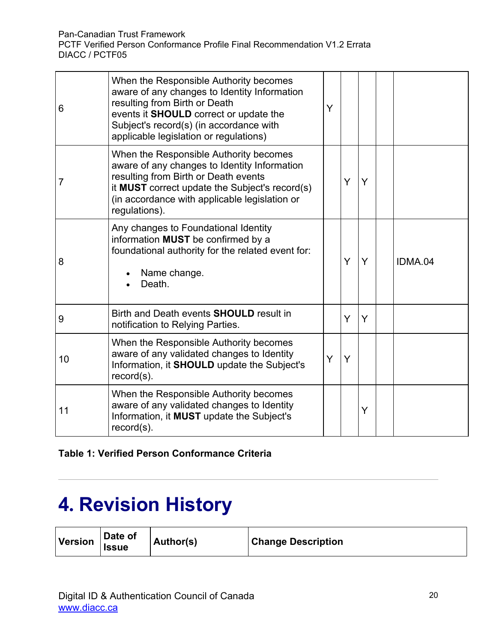| 6  | When the Responsible Authority becomes<br>aware of any changes to Identity Information<br>resulting from Birth or Death<br>events it SHOULD correct or update the<br>Subject's record(s) (in accordance with<br>applicable legislation or regulations) | Y |   |   |         |
|----|--------------------------------------------------------------------------------------------------------------------------------------------------------------------------------------------------------------------------------------------------------|---|---|---|---------|
| 7  | When the Responsible Authority becomes<br>aware of any changes to Identity Information<br>resulting from Birth or Death events<br>it MUST correct update the Subject's record(s)<br>(in accordance with applicable legislation or<br>regulations).     |   | Y | Y |         |
| 8  | Any changes to Foundational Identity<br>information MUST be confirmed by a<br>foundational authority for the related event for:<br>Name change.<br>Death.                                                                                              |   | Y | Y | IDMA.04 |
| 9  | Birth and Death events <b>SHOULD</b> result in<br>notification to Relying Parties.                                                                                                                                                                     |   | Y | Y |         |
| 10 | When the Responsible Authority becomes<br>aware of any validated changes to Identity<br>Information, it SHOULD update the Subject's<br>$record(s)$ .                                                                                                   | Y | Y |   |         |
| 11 | When the Responsible Authority becomes<br>aware of any validated changes to Identity<br>Information, it MUST update the Subject's<br>$record(s)$ .                                                                                                     |   |   | Y |         |

#### **Table 1: Verified Person Conformance Criteria**

## <span id="page-19-0"></span>**4. Revision History**

| <b>Version</b> | Date of<br><b>Issue</b> | Author(s) | <b>Change Description</b> |
|----------------|-------------------------|-----------|---------------------------|
|----------------|-------------------------|-----------|---------------------------|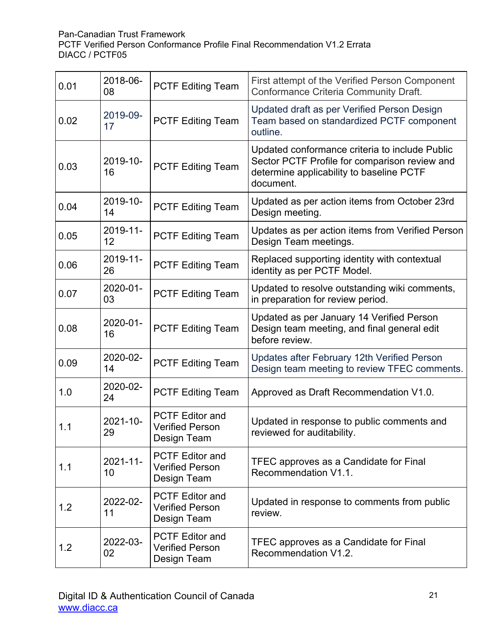| 0.01 | 2018-06-<br>08 | <b>PCTF Editing Team</b>                                        | First attempt of the Verified Person Component<br><b>Conformance Criteria Community Draft.</b>                                                           |
|------|----------------|-----------------------------------------------------------------|----------------------------------------------------------------------------------------------------------------------------------------------------------|
| 0.02 | 2019-09-<br>17 | <b>PCTF Editing Team</b>                                        | Updated draft as per Verified Person Design<br>Team based on standardized PCTF component<br>outline.                                                     |
| 0.03 | 2019-10-<br>16 | <b>PCTF Editing Team</b>                                        | Updated conformance criteria to include Public<br>Sector PCTF Profile for comparison review and<br>determine applicability to baseline PCTF<br>document. |
| 0.04 | 2019-10-<br>14 | <b>PCTF Editing Team</b>                                        | Updated as per action items from October 23rd<br>Design meeting.                                                                                         |
| 0.05 | 2019-11-<br>12 | <b>PCTF Editing Team</b>                                        | Updates as per action items from Verified Person<br>Design Team meetings.                                                                                |
| 0.06 | 2019-11-<br>26 | <b>PCTF Editing Team</b>                                        | Replaced supporting identity with contextual<br>identity as per PCTF Model.                                                                              |
| 0.07 | 2020-01-<br>03 | <b>PCTF Editing Team</b>                                        | Updated to resolve outstanding wiki comments,<br>in preparation for review period.                                                                       |
| 0.08 | 2020-01-<br>16 | <b>PCTF Editing Team</b>                                        | Updated as per January 14 Verified Person<br>Design team meeting, and final general edit<br>before review.                                               |
| 0.09 | 2020-02-<br>14 | <b>PCTF Editing Team</b>                                        | Updates after February 12th Verified Person<br>Design team meeting to review TFEC comments.                                                              |
| 1.0  | 2020-02-<br>24 | <b>PCTF Editing Team</b>                                        | Approved as Draft Recommendation V1.0.                                                                                                                   |
| 1.1  | 2021-10-<br>29 | <b>PCTF Editor and</b><br><b>Verified Person</b><br>Design Team | Updated in response to public comments and<br>reviewed for auditability.                                                                                 |
| 1.1  | 2021-11-<br>10 | <b>PCTF Editor and</b><br><b>Verified Person</b><br>Design Team | TFEC approves as a Candidate for Final<br>Recommendation V1.1.                                                                                           |
| 1.2  | 2022-02-<br>11 | <b>PCTF Editor and</b><br><b>Verified Person</b><br>Design Team | Updated in response to comments from public<br>review.                                                                                                   |
| 1.2  | 2022-03-<br>02 | <b>PCTF Editor and</b><br><b>Verified Person</b><br>Design Team | TFEC approves as a Candidate for Final<br>Recommendation V1.2.                                                                                           |